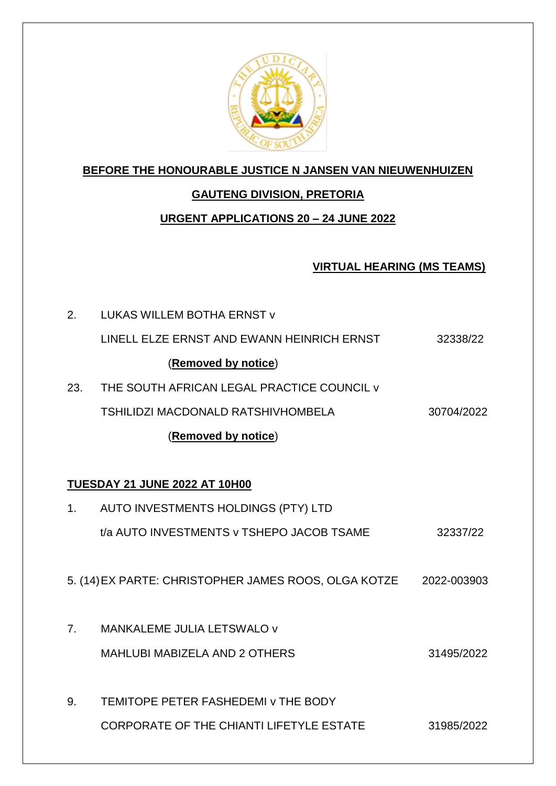

### **BEFORE THE HONOURABLE JUSTICE N JANSEN VAN NIEUWENHUIZEN**

## **GAUTENG DIVISION, PRETORIA**

## **URGENT APPLICATIONS 20 – 24 JUNE 2022**

### **VIRTUAL HEARING (MS TEAMS)**

2. LUKAS WILLEM BOTHA ERNST v LINELL ELZE ERNST AND EWANN HEINRICH ERNST 32338/22 (**Removed by notice**) 23. THE SOUTH AFRICAN LEGAL PRACTICE COUNCIL v TSHILIDZI MACDONALD RATSHIVHOMBELA 30704/2022 (**Removed by notice**) **TUESDAY 21 JUNE 2022 AT 10H00** 1. AUTO INVESTMENTS HOLDINGS (PTY) LTD t/a AUTO INVESTMENTS v TSHEPO JACOB TSAME 32337/22 5. (14)EX PARTE: CHRISTOPHER JAMES ROOS, OLGA KOTZE 2022-003903 7. MANKALEME JULIA LETSWALO v MAHLUBI MABIZELA AND 2 OTHERS 31495/2022 9. TEMITOPE PETER FASHEDEMI v THE BODY CORPORATE OF THE CHIANTI LIFETYLE ESTATE 31985/2022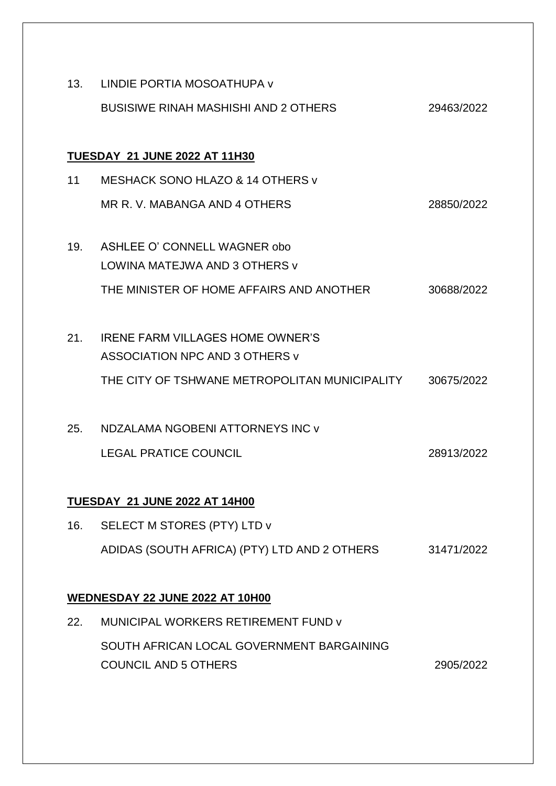| 13.                                  | LINDIE PORTIA MOSOATHUPA V                    |            |
|--------------------------------------|-----------------------------------------------|------------|
|                                      | <b>BUSISIWE RINAH MASHISHI AND 2 OTHERS</b>   | 29463/2022 |
|                                      |                                               |            |
| <b>TUESDAY 21 JUNE 2022 AT 11H30</b> |                                               |            |
| 11                                   | MESHACK SONO HLAZO & 14 OTHERS v              |            |
|                                      | MR R. V. MABANGA AND 4 OTHERS                 | 28850/2022 |
|                                      |                                               |            |
| 19.                                  | ASHLEE O' CONNELL WAGNER obo                  |            |
|                                      | LOWINA MATEJWA AND 3 OTHERS V                 |            |
|                                      | THE MINISTER OF HOME AFFAIRS AND ANOTHER      | 30688/2022 |
|                                      |                                               |            |
| 21.                                  | <b>IRENE FARM VILLAGES HOME OWNER'S</b>       |            |
|                                      | ASSOCIATION NPC AND 3 OTHERS V                |            |
|                                      | THE CITY OF TSHWANE METROPOLITAN MUNICIPALITY | 30675/2022 |
|                                      |                                               |            |
| 25.                                  | NDZALAMA NGOBENI ATTORNEYS INC v              |            |
|                                      | <b>LEGAL PRATICE COUNCIL</b>                  | 28913/2022 |
|                                      |                                               |            |
| <b>TUESDAY 21 JUNE 2022 AT 14H00</b> |                                               |            |
| 16.                                  | SELECT M STORES (PTY) LTD v                   |            |
|                                      | ADIDAS (SOUTH AFRICA) (PTY) LTD AND 2 OTHERS  | 31471/2022 |
|                                      |                                               |            |
| WEDNESDAY 22 JUNE 2022 AT 10H00      |                                               |            |
| 22.                                  | MUNICIPAL WORKERS RETIREMENT FUND V           |            |
|                                      | SOUTH AFRICAN LOCAL GOVERNMENT BARGAINING     |            |
|                                      | <b>COUNCIL AND 5 OTHERS</b>                   | 2905/2022  |